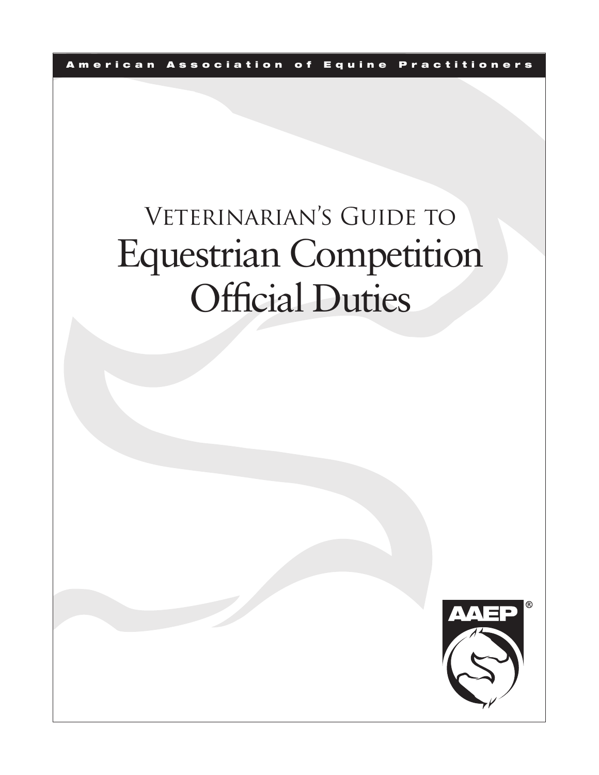A m e ric an Association of Equine Practitioners

# VETERINARIAN'S GUIDE TO Equestrian Competition Official Duties

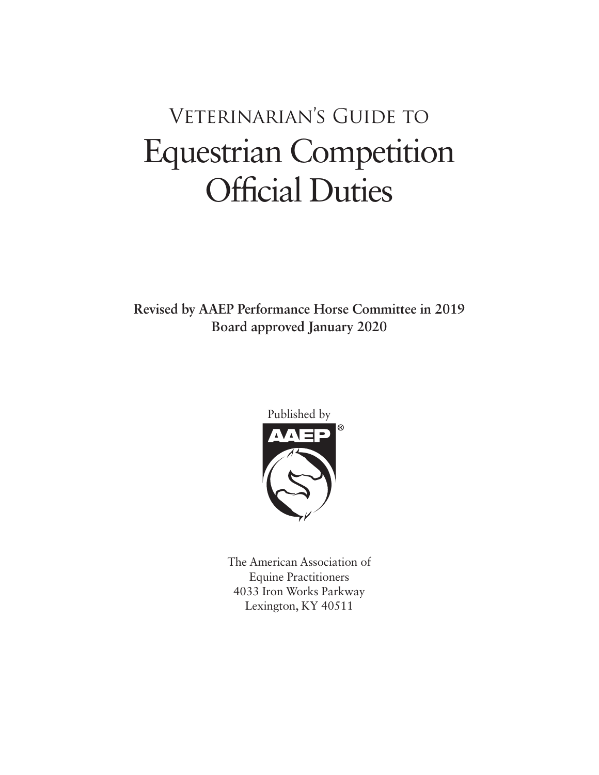## Veterinarian's Guide to Equestrian Competition Official Duties

**Revised by AAEP Performance Horse Committee in 2019 Board approved January 2020**



The American Association of Equine Practitioners 4033 Iron Works Parkway Lexington, KY 40511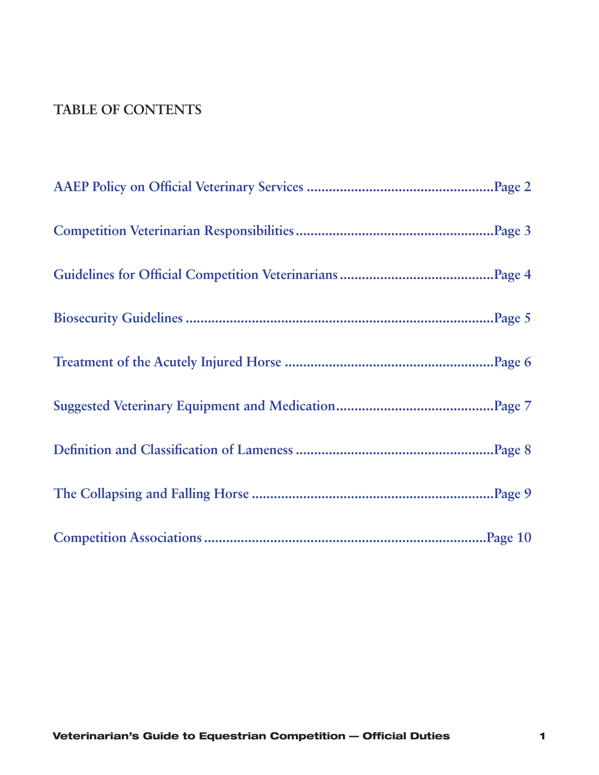#### **TABLE OF CONTENTS**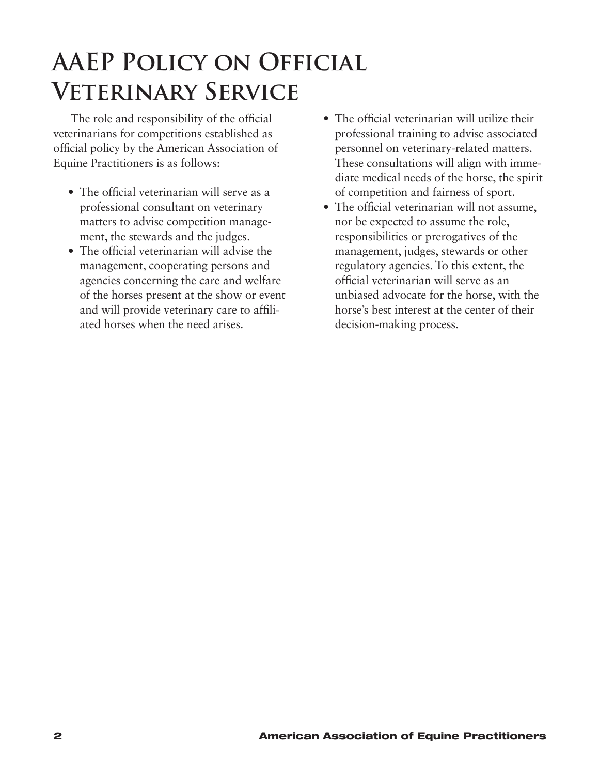### <span id="page-3-0"></span>**AAEP Policy on Official Veterinary Service**

The role and responsibility of the official veterinarians for competitions established as official policy by the American Association of Equine Practitioners is as follows:

- The official veterinarian will serve as a professional consultant on veterinary matters to advise competition management, the stewards and the judges.
- The official veterinarian will advise the management, cooperating persons and agencies concerning the care and welfare of the horses present at the show or event and will provide veterinary care to affiliated horses when the need arises.
- The official veterinarian will utilize their professional training to advise associated personnel on veterinary-related matters. These consultations will align with immediate medical needs of the horse, the spirit of competition and fairness of sport.
- The official veterinarian will not assume, nor be expected to assume the role, responsibilities or prerogatives of the management, judges, stewards or other regulatory agencies. To this extent, the official veterinarian will serve as an unbiased advocate for the horse, with the horse's best interest at the center of their decision-making process.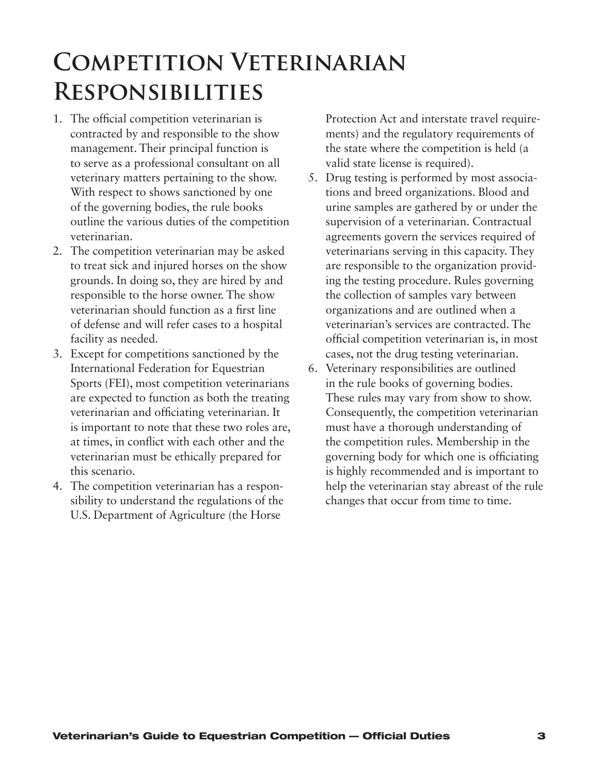### <span id="page-4-0"></span>**Competition Veterinarian Responsibilities**

- 1. The official competition veterinarian is contracted by and responsible to the show management. Their principal function is to serve as a professional consultant on all veterinary matters pertaining to the show. With respect to shows sanctioned by one of the governing bodies, the rule books outline the various duties of the competition veterinarian.
- 2. The competition veterinarian may be asked to treat sick and injured horses on the show grounds. In doing so, they are hired by and responsible to the horse owner. The show veterinarian should function as a first line of defense and will refer cases to a hospital facility as needed.
- 3. Except for competitions sanctioned by the International Federation for Equestrian Sports (FEI), most competition veterinarians are expected to function as both the treating veterinarian and officiating veterinarian. It is important to note that these two roles are, at times, in conflict with each other and the veterinarian must be ethically prepared for this scenario.
- 4. The competition veterinarian has a responsibility to understand the regulations of the U.S. Department of Agriculture (the Horse

Protection Act and interstate travel requirements) and the regulatory requirements of the state where the competition is held (a valid state license is required).

- 5. Drug testing is performed by most associations and breed organizations. Blood and urine samples are gathered by or under the supervision of a veterinarian. Contractual agreements govern the services required of veterinarians serving in this capacity. They are responsible to the organization providing the testing procedure. Rules governing the collection of samples vary between organizations and are outlined when a veterinarian's services are contracted. The official competition veterinarian is, in most cases, not the drug testing veterinarian.
- 6. Veterinary responsibilities are outlined in the rule books of governing bodies. These rules may vary from show to show. Consequently, the competition veterinarian must have a thorough understanding of the competition rules. Membership in the governing body for which one is officiating is highly recommended and is important to help the veterinarian stay abreast of the rule changes that occur from time to time.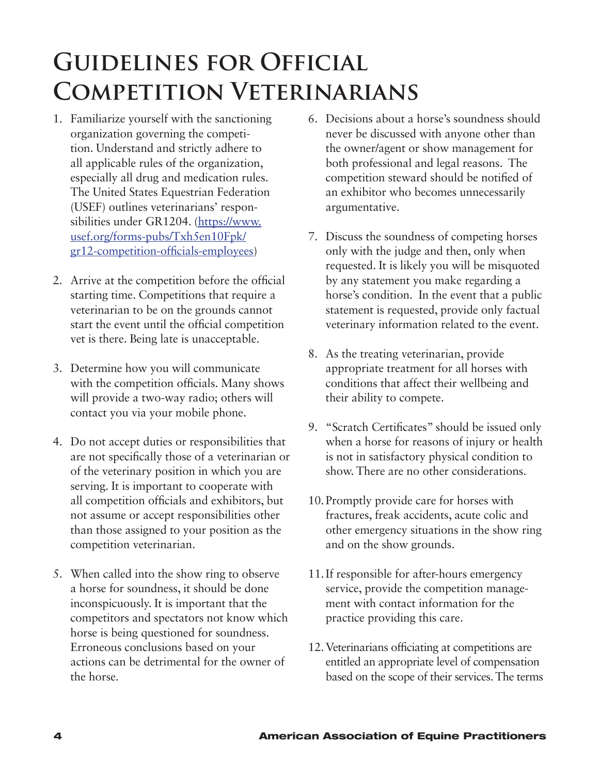### <span id="page-5-0"></span>**Guidelines for Official Competition Veterinarians**

- 1. Familiarize yourself with the sanctioning organization governing the competition. Understand and strictly adhere to all applicable rules of the organization, especially all drug and medication rules. The United States Equestrian Federation (USEF) outlines veterinarians' responsibilities under GR1204. [\(https://www.](https://www.usef.org/forms-pubs/Txh5en10Fpk/gr12-competition-officials-employees) [usef.org/forms-pubs/Txh5en10Fpk/](https://www.usef.org/forms-pubs/Txh5en10Fpk/gr12-competition-officials-employees) [gr12-competition-officials-employees](https://www.usef.org/forms-pubs/Txh5en10Fpk/gr12-competition-officials-employees))
- 2. Arrive at the competition before the official starting time. Competitions that require a veterinarian to be on the grounds cannot start the event until the official competition vet is there. Being late is unacceptable.
- 3. Determine how you will communicate with the competition officials. Many shows will provide a two-way radio; others will contact you via your mobile phone.
- 4. Do not accept duties or responsibilities that are not specifically those of a veterinarian or of the veterinary position in which you are serving. It is important to cooperate with all competition officials and exhibitors, but not assume or accept responsibilities other than those assigned to your position as the competition veterinarian.
- 5. When called into the show ring to observe a horse for soundness, it should be done inconspicuously. It is important that the competitors and spectators not know which horse is being questioned for soundness. Erroneous conclusions based on your actions can be detrimental for the owner of the horse.
- 6. Decisions about a horse's soundness should never be discussed with anyone other than the owner/agent or show management for both professional and legal reasons. The competition steward should be notified of an exhibitor who becomes unnecessarily argumentative.
- 7. Discuss the soundness of competing horses only with the judge and then, only when requested. It is likely you will be misquoted by any statement you make regarding a horse's condition. In the event that a public statement is requested, provide only factual veterinary information related to the event.
- 8. As the treating veterinarian, provide appropriate treatment for all horses with conditions that affect their wellbeing and their ability to compete.
- 9. "Scratch Certificates" should be issued only when a horse for reasons of injury or health is not in satisfactory physical condition to show. There are no other considerations.
- 10.Promptly provide care for horses with fractures, freak accidents, acute colic and other emergency situations in the show ring and on the show grounds.
- 11.If responsible for after-hours emergency service, provide the competition management with contact information for the practice providing this care.
- 12.Veterinarians officiating at competitions are entitled an appropriate level of compensation based on the scope of their services. The terms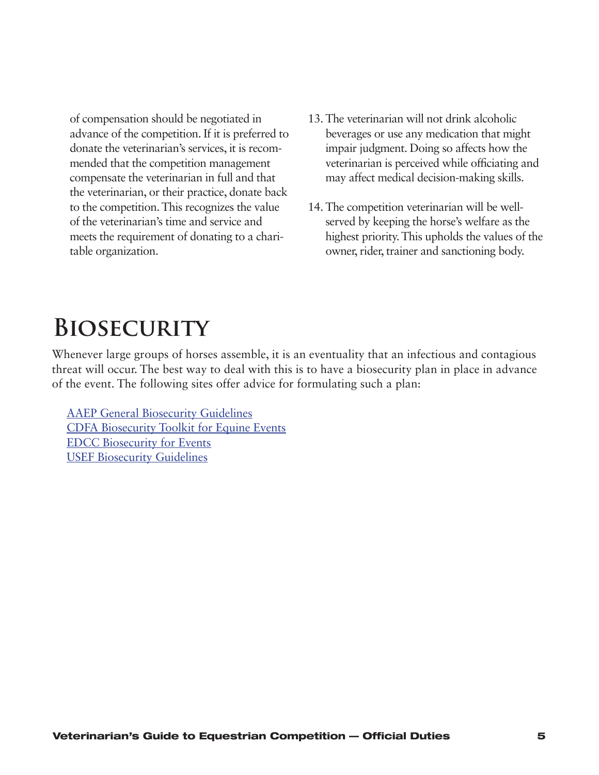<span id="page-6-0"></span>of compensation should be negotiated in advance of the competition. If it is preferred to donate the veterinarian's services, it is recommended that the competition management compensate the veterinarian in full and that the veterinarian, or their practice, donate back to the competition.This recognizes the value of the veterinarian's time and service and meets the requirement of donating to a charitable organization.

- 13. The veterinarian will not drink alcoholic beverages or use any medication that might impair judgment. Doing so affects how the veterinarian is perceived while officiating and may affect medical decision-making skills.
- 14. The competition veterinarian will be wellserved by keeping the horse's welfare as the highest priority. This upholds the values of the owner, rider, trainer and sanctioning body.

### **Biosecurity**

Whenever large groups of horses assemble, it is an eventuality that an infectious and contagious threat will occur. The best way to deal with this is to have a biosecurity plan in place in advance of the event. The following sites offer advice for formulating such a plan:

AAEP General [Biosecurity](https://aaep.org/sites/default/files/Guidelines/BiosecurityGuidelines_Final_0.pdf) Guidelines CDFA [Biosecurity](https://www.cdfa.ca.gov/ahfss/Animal_Health/pdfs/Biosecurity_Toolkit_Full_Version.pdf) Toolkit for Equine Events EDCC [Biosecurity](http://equinediseasecc.org/biosecurity/event) for Events USEF [Biosecurity](https://www.usef.org/forms-pubs/KR7Md0c5tCw/biosecurity-measures-for-horses-at-home) Guidelines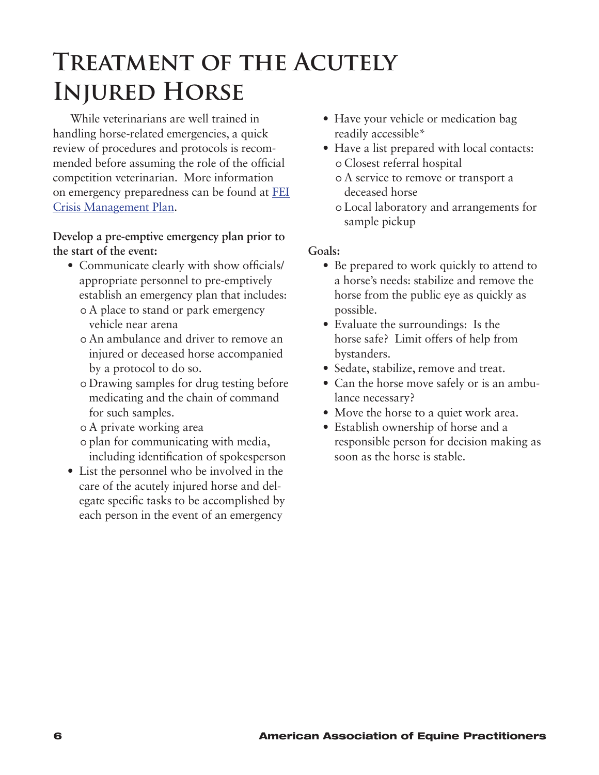### <span id="page-7-0"></span>**Treatment of the Acutely Injured Horse**

While veterinarians are well trained in handling horse-related emergencies, a quick review of procedures and protocols is recommended before assuming the role of the official competition veterinarian. More information on emergency preparedness can be found at [FEI](https://inside.fei.org/system/files/Crisis management document 2016.pdf)  [Crisis Management Plan](https://inside.fei.org/system/files/Crisis management document 2016.pdf).

**Develop a pre-emptive emergency plan prior to the start of the event:**

- Communicate clearly with show officials/ appropriate personnel to pre-emptively establish an emergency plan that includes: o A place to stand or park emergency
	- vehicle near arena
	- o An ambulance and driver to remove an injured or deceased horse accompanied by a protocol to do so.
	- o Drawing samples for drug testing before medicating and the chain of command for such samples.
	- o A private working area
	- o plan for communicating with media, including identification of spokesperson
- List the personnel who be involved in the care of the acutely injured horse and delegate specific tasks to be accomplished by each person in the event of an emergency
- Have your vehicle or medication bag readily accessible\*
- Have a list prepared with local contacts: o Closest referral hospital
	- o A service to remove or transport a deceased horse
	- Ŋ Local laboratory and arrangements for sample pickup

#### **Goals:**

- Be prepared to work quickly to attend to a horse's needs: stabilize and remove the horse from the public eye as quickly as possible.
- Evaluate the surroundings: Is the horse safe? Limit offers of help from bystanders.
- Sedate, stabilize, remove and treat.
- Can the horse move safely or is an ambulance necessary?
- Move the horse to a quiet work area.
- Establish ownership of horse and a responsible person for decision making as soon as the horse is stable.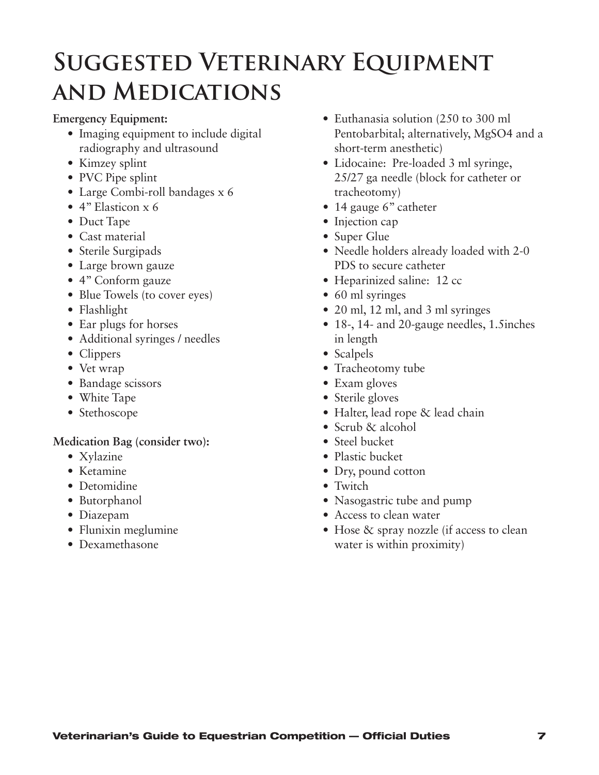### <span id="page-8-0"></span>**Suggested Veterinary Equipment and Medications**

**Emergency Equipment:**

- Imaging equipment to include digital radiography and ultrasound
- Kimzey splint
- PVC Pipe splint
- Large Combi-roll bandages x 6
- $\bullet$  4" Elasticon x 6
- Duct Tape
- Cast material
- Sterile Surgipads
- Large brown gauze
- 4" Conform gauze
- Blue Towels (to cover eyes)
- Flashlight
- Ear plugs for horses
- Additional syringes / needles
- Clippers
- Vet wrap
- Bandage scissors
- White Tape
- Stethoscope

#### **Medication Bag (consider two):**

- Xylazine
- • Ketamine
- Detomidine
- Butorphanol
- Diazepam
- Flunixin meglumine
- • Dexamethasone
- Euthanasia solution (250 to 300 ml Pentobarbital; alternatively, MgSO4 and a short-term anesthetic)
- Lidocaine: Pre-loaded 3 ml syringe, 25/27 ga needle (block for catheter or tracheotomy)
- 14 gauge 6" catheter
- Injection cap
- Super Glue
- Needle holders already loaded with 2-0 PDS to secure catheter
- Heparinized saline: 12 cc
- 60 ml syringes
- 20 ml, 12 ml, and 3 ml syringes
- 18-, 14- and 20-gauge needles, 1.5inches in length
- Scalpels
- Tracheotomy tube
- Exam gloves
- Sterile gloves
- Halter, lead rope & lead chain
- Scrub & alcohol
- Steel bucket
- Plastic bucket
- Dry, pound cotton
- Twitch
- Nasogastric tube and pump
- Access to clean water
- Hose & spray nozzle (if access to clean water is within proximity)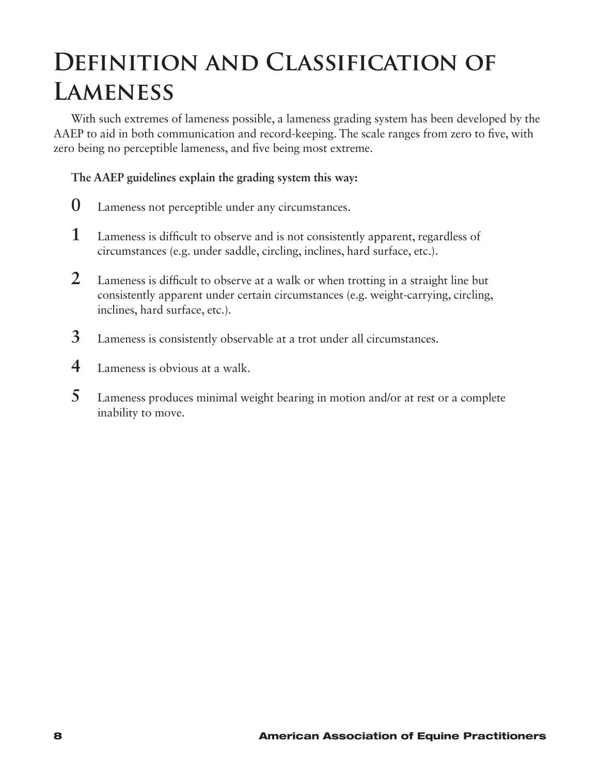### <span id="page-9-0"></span>**Definition and Classification of Lameness**

With such extremes of lameness possible, a lameness grading system has been developed by the AAEP to aid in both communication and record-keeping. The scale ranges from zero to five, with zero being no perceptible lameness, and five being most extreme.

#### **The AAEP guidelines explain the grading system this way:**

- **0** Lameness not perceptible under any circumstances.
- **1** Lameness is difficult to observe and is not consistently apparent, regardless of circumstances (e.g. under saddle, circling, inclines, hard surface, etc.).
- **2** Lameness is difficult to observe at a walk or when trotting in a straight line but consistently apparent under certain circumstances (e.g. weight-carrying, circling, inclines, hard surface, etc.).
- **3** Lameness is consistently observable at a trot under all circumstances.
- **4** Lameness is obvious at a walk.
- **5** Lameness produces minimal weight bearing in motion and/or at rest or a complete inability to move.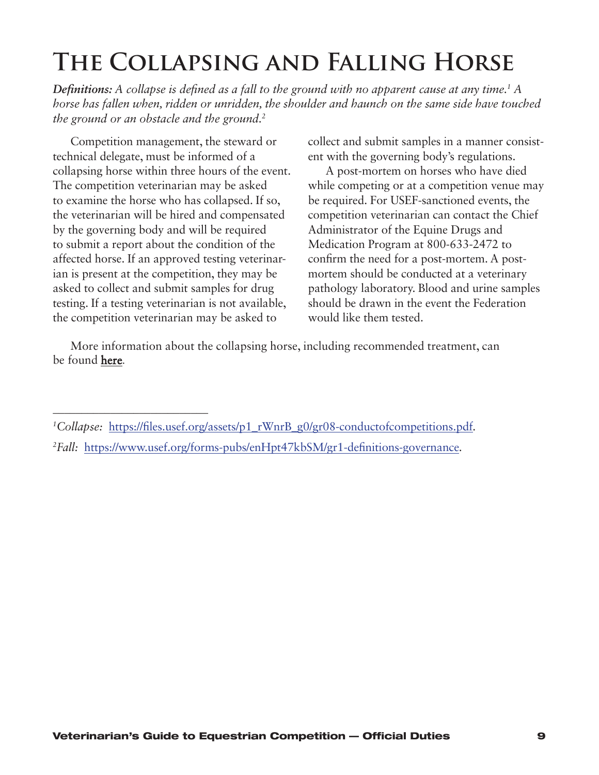### <span id="page-10-0"></span>**The Collapsing and Falling Horse**

**Definitions:** A collapse is defined as a fall to the ground with no apparent cause at any time.<sup>1</sup> A *horse has fallen when, ridden or unridden, the shoulder and haunch on the same side have touched the ground or an obstacle and the ground.2*

Competition management, the steward or technical delegate, must be informed of a collapsing horse within three hours of the event. The competition veterinarian may be asked to examine the horse who has collapsed. If so, the veterinarian will be hired and compensated by the governing body and will be required to submit a report about the condition of the affected horse. If an approved testing veterinarian is present at the competition, they may be asked to collect and submit samples for drug testing. If a testing veterinarian is not available, the competition veterinarian may be asked to

\_\_\_\_\_\_\_\_\_\_\_\_\_\_\_\_\_\_\_\_\_\_\_\_\_\_\_

collect and submit samples in a manner consistent with the governing body's regulations.

A post-mortem on horses who have died while competing or at a competition venue may be required. For USEF-sanctioned events, the competition veterinarian can contact the Chief Administrator of the Equine Drugs and Medication Program at 800-633-2472 to confirm the need for a post-mortem. A postmortem should be conducted at a veterinary pathology laboratory. Blood and urine samples should be drawn in the event the Federation would like them tested.

More information about the collapsing horse, including recommended treatment, can be found here.

*<sup>1</sup>Collapse:* https://files.usef.org/assets/p1\_rWnrB\_g0/gr08-conductofcompetitions.pdf*.*

*<sup>2</sup>Fall:* https://www.usef.org/forms-pubs/enHpt47kbSM/gr1-definitions-governance*.*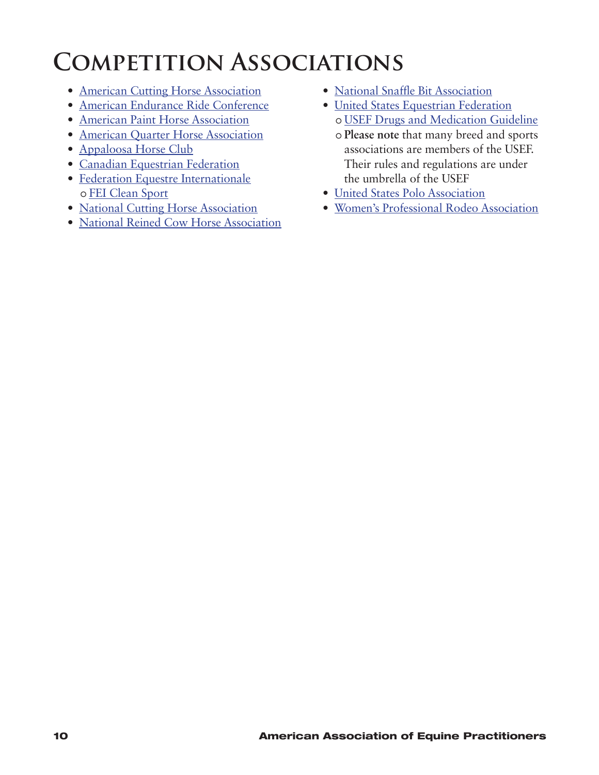### <span id="page-11-0"></span>**Competition Associations**

- [American Cutting Horse Association](https://www.achacutting.org/)
- • [American Endurance Ride Conference](https://aerc.org/)
- [American Paint Horse Association](http://apha.com)
- [American Quarter Horse Association](https://www.aqha.com)
- [Appaloosa Horse Club](https://www.appaloosa.com/)
- [Canadian Equestrian Federation](https://www.equestrian.ca/)
- [Federation Equestre Internationale](https://www.fei.org/) o [FEI Clean Sport](https://inside.fei.org/fei/your-role/veterinarians/cleansport)
- National Cutting Horse [Association](https://www.nchacutting.com/)
- National Reined Cow Horse [Association](http://nrcha.com/)
- National Snaffle Bit [Association](https://www.nsba.com/)
- [United States Equestrian Federation](https://www.usef.org/) o [USEF Drugs and Medication Guideline](https://www.usef.org/forms-pubs/2Zp2C_YKs4s/drugs-medications-guidelines)
	- Ŋ **Please note** that many breed and sports associations are members of the USEF. Their rules and regulations are under the umbrella of the USEF
- [United States Polo Association](https://www.uspolo.org/)
- • [Women's Professional Rodeo Association](http://www.wpra.com/index.php)